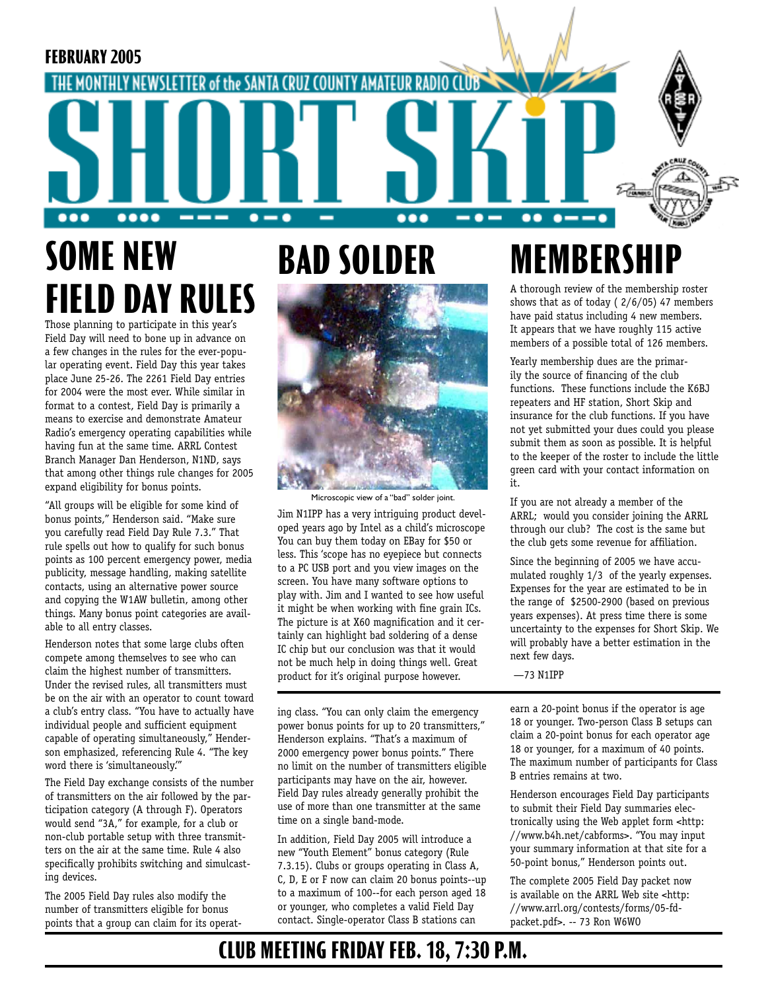

# **SOME NEW FIELD DAY RULES**

Those planning to participate in this year's Field Day will need to bone up in advance on a few changes in the rules for the ever-popular operating event. Field Day this year takes place June 25-26. The 2261 Field Day entries for 2004 were the most ever. While similar in format to a contest, Field Day is primarily a means to exercise and demonstrate Amateur Radio's emergency operating capabilities while having fun at the same time. ARRL Contest Branch Manager Dan Henderson, N1ND, says that among other things rule changes for 2005 expand eligibility for bonus points.

"All groups will be eligible for some kind of bonus points," Henderson said. "Make sure you carefully read Field Day Rule 7.3." That rule spells out how to qualify for such bonus points as 100 percent emergency power, media publicity, message handling, making satellite contacts, using an alternative power source and copying the W1AW bulletin, among other things. Many bonus point categories are available to all entry classes.

Henderson notes that some large clubs often compete among themselves to see who can claim the highest number of transmitters. Under the revised rules, all transmitters must be on the air with an operator to count toward a club's entry class. "You have to actually have individual people and sufficient equipment capable of operating simultaneously," Henderson emphasized, referencing Rule 4. "The key word there is 'simultaneously.'"

The Field Day exchange consists of the number of transmitters on the air followed by the participation category (A through F). Operators would send "3A," for example, for a club or non-club portable setup with three transmitters on the air at the same time. Rule 4 also specifically prohibits switching and simulcasting devices.

The 2005 Field Day rules also modify the number of transmitters eligible for bonus points that a group can claim for its operat-

# **BAD SOLDER**



Jim N1IPP has a very intriguing product devel-Microscopic view of a "bad" solder joint.

oped years ago by Intel as a child's microscope You can buy them today on EBay for \$50 or less. This 'scope has no eyepiece but connects to a PC USB port and you view images on the screen. You have many software options to play with. Jim and I wanted to see how useful it might be when working with fine grain ICs. The picture is at X60 magnification and it certainly can highlight bad soldering of a dense IC chip but our conclusion was that it would not be much help in doing things well. Great product for it's original purpose however.

ing class. "You can only claim the emergency power bonus points for up to 20 transmitters," Henderson explains. "That's a maximum of 2000 emergency power bonus points." There no limit on the number of transmitters eligible participants may have on the air, however. Field Day rules already generally prohibit the use of more than one transmitter at the same time on a single band-mode.

In addition, Field Day 2005 will introduce a new "Youth Element" bonus category (Rule 7.3.15). Clubs or groups operating in Class A, C, D, E or F now can claim 20 bonus points--up to a maximum of 100--for each person aged 18 or younger, who completes a valid Field Day contact. Single-operator Class B stations can

# **MEMBERSHII**

A thorough review of the membership roster shows that as of today ( 2/6/05) 47 members have paid status including 4 new members. It appears that we have roughly 115 active members of a possible total of 126 members.

Yearly membership dues are the primarily the source of financing of the club functions. These functions include the K6BJ repeaters and HF station, Short Skip and insurance for the club functions. If you have not yet submitted your dues could you please submit them as soon as possible. It is helpful to the keeper of the roster to include the little green card with your contact information on it.

If you are not already a member of the ARRL; would you consider joining the ARRL through our club? The cost is the same but the club gets some revenue for affiliation.

Since the beginning of 2005 we have accumulated roughly 1/3 of the yearly expenses. Expenses for the year are estimated to be in the range of \$2500-2900 (based on previous years expenses). At press time there is some uncertainty to the expenses for Short Skip. We will probably have a better estimation in the next few days.

—73 N1IPP

earn a 20-point bonus if the operator is age 18 or younger. Two-person Class B setups can claim a 20-point bonus for each operator age 18 or younger, for a maximum of 40 points. The maximum number of participants for Class B entries remains at two.

Henderson encourages Field Day participants to submit their Field Day summaries electronically using the Web applet form <http: //www.b4h.net/cabforms>. "You may input your summary information at that site for a 50-point bonus," Henderson points out.

The complete 2005 Field Day packet now is available on the ARRL Web site <http: //www.arrl.org/contests/forms/05-fdpacket.pdf>. -- 73 Ron W6WO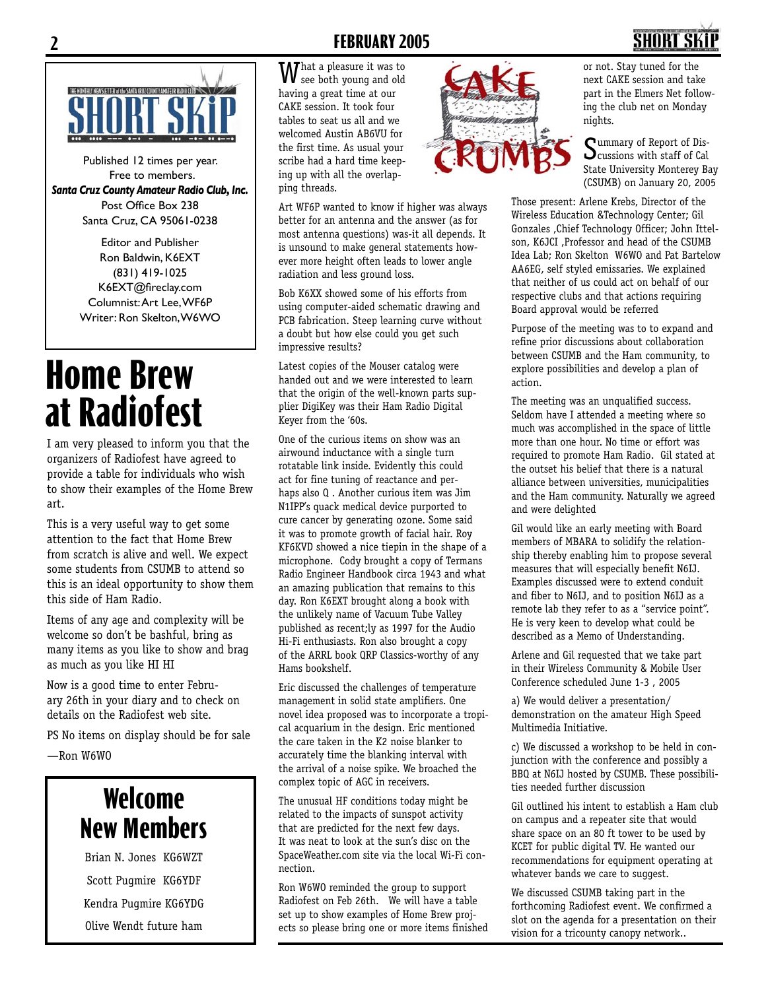#### **2 FEBRUARY 2005 3**



Published 12 times per year. Free to members. *Santa Cruz County Amateur Radio Club, Inc.* Post Office Box 238 Santa Cruz, CA 95061-0238

> Editor and Publisher Ron Baldwin, K6EXT (831) 419-1025 K6EXT@fireclay.com Columnist: Art Lee, WF6P Writer: Ron Skelton, W6WO

# **Home Brew at Radiofest**

I am very pleased to inform you that the organizers of Radiofest have agreed to provide a table for individuals who wish to show their examples of the Home Brew art.

This is a very useful way to get some attention to the fact that Home Brew from scratch is alive and well. We expect some students from CSUMB to attend so this is an ideal opportunity to show them this side of Ham Radio.

Items of any age and complexity will be welcome so don't be bashful, bring as many items as you like to show and brag as much as you like HI HI

Now is a good time to enter February 26th in your diary and to check on details on the Radiofest web site.

PS No items on display should be for sale

—Ron W6WO

## **Welcome New Members**

Brian N. Jones KG6WZT Scott Pugmire KG6YDF Kendra Pugmire KG6YDG Olive Wendt future ham

**W** hat a pleasure it was to see both young and old having a great time at our CAKE session. It took four tables to seat us all and we welcomed Austin AB6VU for the first time. As usual your scribe had a hard time keeping up with all the overlapping threads.

Art WF6P wanted to know if higher was always better for an antenna and the answer (as for most antenna questions) was-it all depends. It is unsound to make general statements however more height often leads to lower angle radiation and less ground loss.

Bob K6XX showed some of his efforts from using computer-aided schematic drawing and PCB fabrication. Steep learning curve without a doubt but how else could you get such impressive results?

Latest copies of the Mouser catalog were handed out and we were interested to learn that the origin of the well-known parts supplier DigiKey was their Ham Radio Digital Keyer from the '60s.

One of the curious items on show was an airwound inductance with a single turn rotatable link inside. Evidently this could act for fine tuning of reactance and perhaps also Q . Another curious item was Jim N1IPP's quack medical device purported to cure cancer by generating ozone. Some said it was to promote growth of facial hair. Roy KF6KVD showed a nice tiepin in the shape of a microphone. Cody brought a copy of Termans Radio Engineer Handbook circa 1943 and what an amazing publication that remains to this day. Ron K6EXT brought along a book with the unlikely name of Vacuum Tube Valley published as recent;ly as 1997 for the Audio Hi-Fi enthusiasts. Ron also brought a copy of the ARRL book QRP Classics-worthy of any Hams bookshelf.

Eric discussed the challenges of temperature management in solid state amplifiers. One novel idea proposed was to incorporate a tropical acquarium in the design. Eric mentioned the care taken in the K2 noise blanker to accurately time the blanking interval with the arrival of a noise spike. We broached the complex topic of AGC in receivers.

The unusual HF conditions today might be related to the impacts of sunspot activity that are predicted for the next few days. It was neat to look at the sun's disc on the SpaceWeather.com site via the local Wi-Fi connection.

Ron W6WO reminded the group to support Radiofest on Feb 26th. We will have a table set up to show examples of Home Brew projects so please bring one or more items finished



or not. Stay tuned for the next CAKE session and take part in the Elmers Net following the club net on Monday nights.

Summary of Report of Discussions with staff of Cal State University Monterey Bay (CSUMB) on January 20, 2005

Those present: Arlene Krebs, Director of the Wireless Education &Technology Center; Gil Gonzales ,Chief Technology Officer; John Ittelson, K6JCI ,Professor and head of the CSUMB Idea Lab; Ron Skelton W6WO and Pat Bartelow AA6EG, self styled emissaries. We explained that neither of us could act on behalf of our respective clubs and that actions requiring Board approval would be referred

Purpose of the meeting was to to expand and refine prior discussions about collaboration between CSUMB and the Ham community, to explore possibilities and develop a plan of action.

The meeting was an unqualified success. Seldom have I attended a meeting where so much was accomplished in the space of little more than one hour. No time or effort was required to promote Ham Radio. Gil stated at the outset his belief that there is a natural alliance between universities, municipalities and the Ham community. Naturally we agreed and were delighted

Gil would like an early meeting with Board members of MBARA to solidify the relationship thereby enabling him to propose several measures that will especially benefit N6IJ. Examples discussed were to extend conduit and fiber to N6IJ, and to position N6IJ as a remote lab they refer to as a "service point". He is very keen to develop what could be described as a Memo of Understanding.

Arlene and Gil requested that we take part in their Wireless Community & Mobile User Conference scheduled June 1-3 , 2005

a) We would deliver a presentation/ demonstration on the amateur High Speed Multimedia Initiative.

c) We discussed a workshop to be held in conjunction with the conference and possibly a BBQ at N6IJ hosted by CSUMB. These possibilities needed further discussion

Gil outlined his intent to establish a Ham club on campus and a repeater site that would share space on an 80 ft tower to be used by KCET for public digital TV. He wanted our recommendations for equipment operating at whatever bands we care to suggest.

We discussed CSUMB taking part in the forthcoming Radiofest event. We confirmed a slot on the agenda for a presentation on their vision for a tricounty canopy network..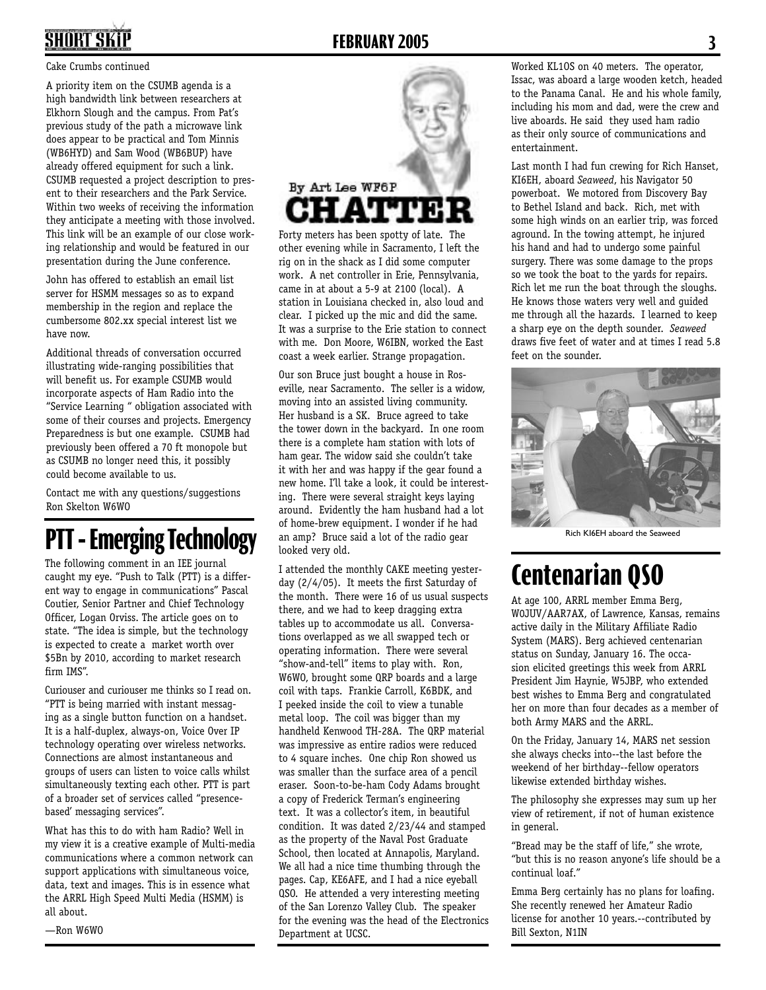## **2 FEBRUARY 2005 3**

#### Cake Crumbs continued

A priority item on the CSUMB agenda is a high bandwidth link between researchers at Elkhorn Slough and the campus. From Pat's previous study of the path a microwave link does appear to be practical and Tom Minnis (WB6HYD) and Sam Wood (WB6BUP) have already offered equipment for such a link. CSUMB requested a project description to present to their researchers and the Park Service. Within two weeks of receiving the information they anticipate a meeting with those involved. This link will be an example of our close working relationship and would be featured in our presentation during the June conference.

John has offered to establish an email list server for HSMM messages so as to expand membership in the region and replace the cumbersome 802.xx special interest list we have now.

Additional threads of conversation occurred illustrating wide-ranging possibilities that will benefit us. For example CSUMB would incorporate aspects of Ham Radio into the "Service Learning " obligation associated with some of their courses and projects. Emergency Preparedness is but one example. CSUMB had previously been offered a 70 ft monopole but as CSUMB no longer need this, it possibly could become available to us.

Contact me with any questions/suggestions Ron Skelton W6WO

## **PTT - Emerging Technology**

The following comment in an IEE journal caught my eye. "Push to Talk (PTT) is a different way to engage in communications" Pascal Coutier, Senior Partner and Chief Technology Officer, Logan Orviss. The article goes on to state. "The idea is simple, but the technology is expected to create a market worth over \$5Bn by 2010, according to market research firm IMS".

Curiouser and curiouser me thinks so I read on. "PTT is being married with instant messaging as a single button function on a handset. It is a half-duplex, always-on, Voice Over IP technology operating over wireless networks. Connections are almost instantaneous and groups of users can listen to voice calls whilst simultaneously texting each other. PTT is part of a broader set of services called "presencebased' messaging services".

What has this to do with ham Radio? Well in my view it is a creative example of Multi-media communications where a common network can support applications with simultaneous voice, data, text and images. This is in essence what the ARRL High Speed Multi Media (HSMM) is all about.

—Ron W6WO



Forty meters has been spotty of late. The other evening while in Sacramento, I left the rig on in the shack as I did some computer work. A net controller in Erie, Pennsylvania, came in at about a 5-9 at 2100 (local). A station in Louisiana checked in, also loud and clear. I picked up the mic and did the same. It was a surprise to the Erie station to connect with me. Don Moore, W6IBN, worked the East coast a week earlier. Strange propagation.

Our son Bruce just bought a house in Roseville, near Sacramento. The seller is a widow, moving into an assisted living community. Her husband is a SK. Bruce agreed to take the tower down in the backyard. In one room there is a complete ham station with lots of ham gear. The widow said she couldn't take it with her and was happy if the gear found a new home. I'll take a look, it could be interesting. There were several straight keys laying around. Evidently the ham husband had a lot of home-brew equipment. I wonder if he had an amp? Bruce said a lot of the radio gear looked very old.

I attended the monthly CAKE meeting yesterday (2/4/05). It meets the first Saturday of the month. There were 16 of us usual suspects there, and we had to keep dragging extra tables up to accommodate us all. Conversations overlapped as we all swapped tech or operating information. There were several "show-and-tell" items to play with. Ron, W6WO, brought some QRP boards and a large coil with taps. Frankie Carroll, K6BDK, and I peeked inside the coil to view a tunable metal loop. The coil was bigger than my handheld Kenwood TH-28A. The QRP material was impressive as entire radios were reduced to 4 square inches. One chip Ron showed us was smaller than the surface area of a pencil eraser. Soon-to-be-ham Cody Adams brought a copy of Frederick Terman's engineering text. It was a collector's item, in beautiful condition. It was dated 2/23/44 and stamped as the property of the Naval Post Graduate School, then located at Annapolis, Maryland. We all had a nice time thumbing through the pages. Cap, KE6AFE, and I had a nice eyeball QSO. He attended a very interesting meeting of the San Lorenzo Valley Club. The speaker for the evening was the head of the Electronics Department at UCSC.

Worked KL1OS on 40 meters. The operator, Issac, was aboard a large wooden ketch, headed to the Panama Canal. He and his whole family, including his mom and dad, were the crew and live aboards. He said they used ham radio as their only source of communications and entertainment.

Last month I had fun crewing for Rich Hanset, KI6EH, aboard *Seaweed*, his Navigator 50 powerboat. We motored from Discovery Bay to Bethel Island and back. Rich, met with some high winds on an earlier trip, was forced aground. In the towing attempt, he injured his hand and had to undergo some painful surgery. There was some damage to the props so we took the boat to the yards for repairs. Rich let me run the boat through the sloughs. He knows those waters very well and guided me through all the hazards. I learned to keep a sharp eye on the depth sounder. *Seaweed* draws five feet of water and at times I read 5.8 feet on the sounder.



Rich KI6EH aboard the Seaweed

## **Centenarian QSO**

At age 100, ARRL member Emma Berg, W0JUV/AAR7AX, of Lawrence, Kansas, remains active daily in the Military Affiliate Radio System (MARS). Berg achieved centenarian status on Sunday, January 16. The occasion elicited greetings this week from ARRL President Jim Haynie, W5JBP, who extended best wishes to Emma Berg and congratulated her on more than four decades as a member of both Army MARS and the ARRL.

On the Friday, January 14, MARS net session she always checks into--the last before the weekend of her birthday--fellow operators likewise extended birthday wishes.

The philosophy she expresses may sum up her view of retirement, if not of human existence in general.

"Bread may be the staff of life," she wrote, "but this is no reason anyone's life should be a continual loaf."

Emma Berg certainly has no plans for loafing. She recently renewed her Amateur Radio license for another 10 years.--contributed by Bill Sexton, N1IN